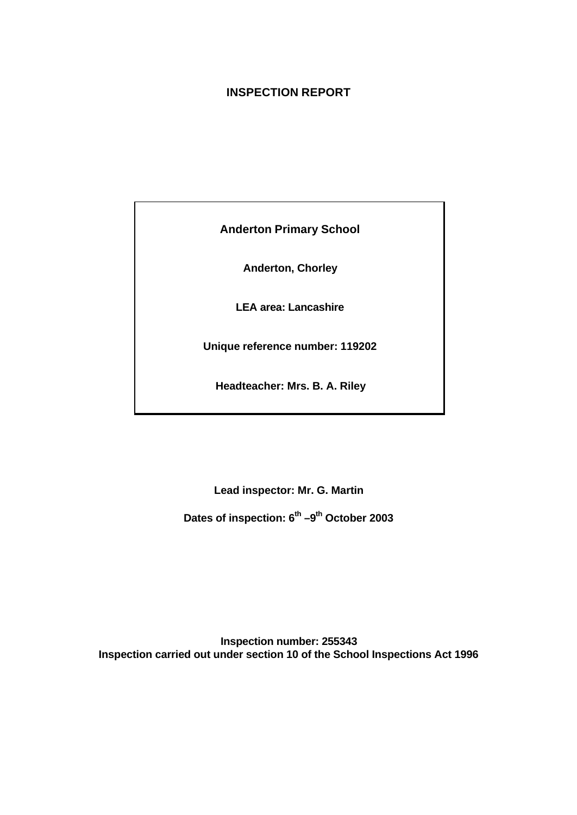# **INSPECTION REPORT**

# **Anderton Primary School**

**Anderton, Chorley**

**LEA area: Lancashire**

**Unique reference number: 119202**

**Headteacher: Mrs. B. A. Riley**

**Lead inspector: Mr. G. Martin**

**Dates of inspection: 6th –9th October 2003**

**Inspection number: 255343 Inspection carried out under section 10 of the School Inspections Act 1996**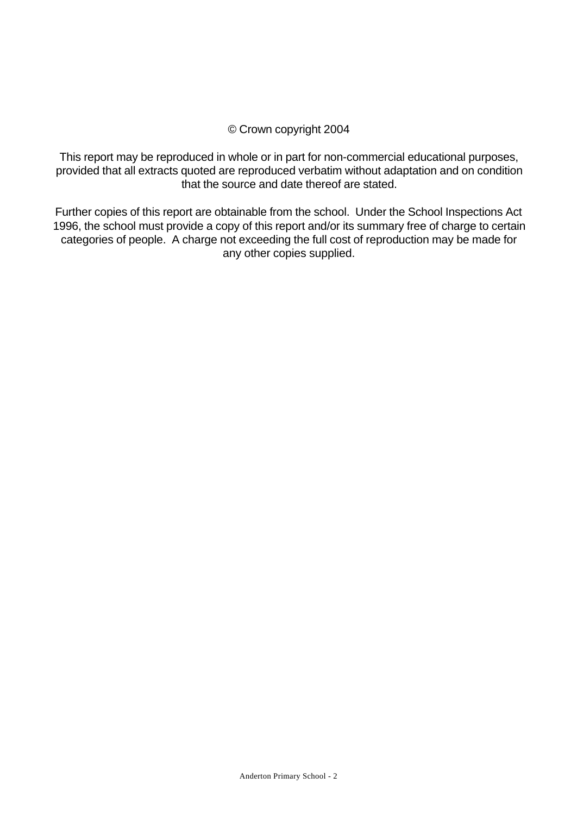# © Crown copyright 2004

This report may be reproduced in whole or in part for non-commercial educational purposes, provided that all extracts quoted are reproduced verbatim without adaptation and on condition that the source and date thereof are stated.

Further copies of this report are obtainable from the school. Under the School Inspections Act 1996, the school must provide a copy of this report and/or its summary free of charge to certain categories of people. A charge not exceeding the full cost of reproduction may be made for any other copies supplied.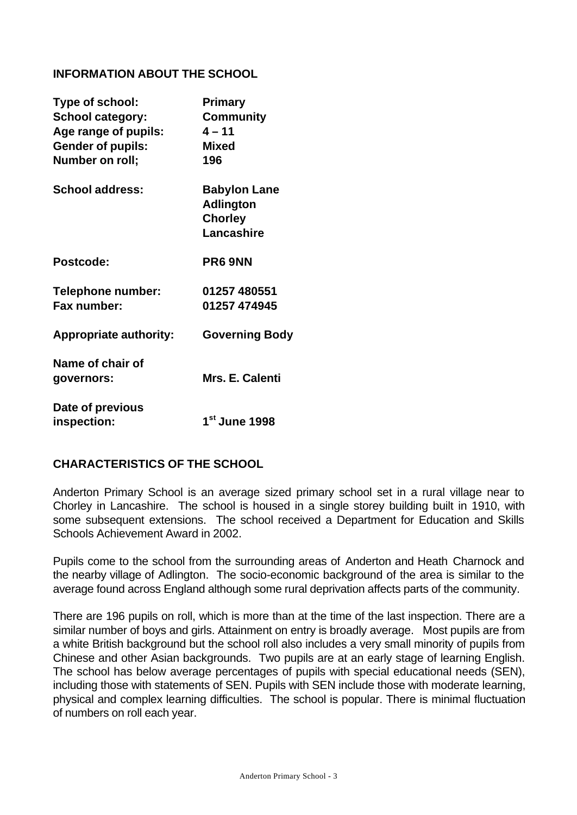# **INFORMATION ABOUT THE SCHOOL**

| Type of school:               | <b>Primary</b>                          |
|-------------------------------|-----------------------------------------|
| <b>School category:</b>       | <b>Community</b>                        |
| Age range of pupils:          | $4 - 11$                                |
| <b>Gender of pupils:</b>      | <b>Mixed</b>                            |
| Number on roll;               | 196                                     |
| <b>School address:</b>        | <b>Babylon Lane</b><br><b>Adlington</b> |
|                               | <b>Chorley</b>                          |
|                               | Lancashire                              |
| Postcode:                     | PR6 9NN                                 |
| Telephone number:             | 01257 480551                            |
| Fax number:                   | 01257 474945                            |
| <b>Appropriate authority:</b> | <b>Governing Body</b>                   |
| Name of chair of              |                                         |
| governors:                    | Mrs. E. Calenti                         |
| Date of previous              |                                         |
| inspection:                   | 1 <sup>st</sup> June 1998               |

# **CHARACTERISTICS OF THE SCHOOL**

Anderton Primary School is an average sized primary school set in a rural village near to Chorley in Lancashire. The school is housed in a single storey building built in 1910, with some subsequent extensions. The school received a Department for Education and Skills Schools Achievement Award in 2002.

Pupils come to the school from the surrounding areas of Anderton and Heath Charnock and the nearby village of Adlington. The socio-economic background of the area is similar to the average found across England although some rural deprivation affects parts of the community.

There are 196 pupils on roll, which is more than at the time of the last inspection. There are a similar number of boys and girls. Attainment on entry is broadly average. Most pupils are from a white British background but the school roll also includes a very small minority of pupils from Chinese and other Asian backgrounds. Two pupils are at an early stage of learning English. The school has below average percentages of pupils with special educational needs (SEN), including those with statements of SEN. Pupils with SEN include those with moderate learning, physical and complex learning difficulties. The school is popular. There is minimal fluctuation of numbers on roll each year.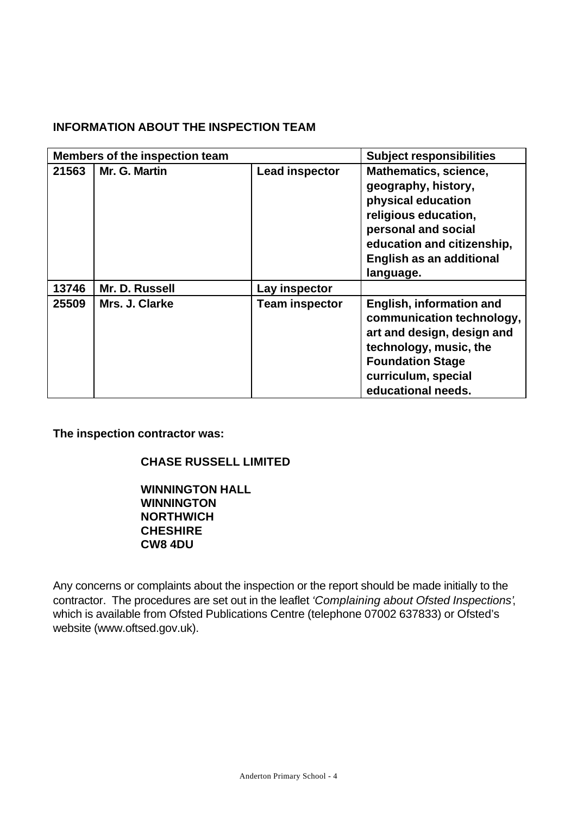# **INFORMATION ABOUT THE INSPECTION TEAM**

|       | <b>Members of the inspection team</b> | <b>Subject responsibilities</b> |                                                                                                                                                                                          |
|-------|---------------------------------------|---------------------------------|------------------------------------------------------------------------------------------------------------------------------------------------------------------------------------------|
| 21563 | Mr. G. Martin                         | <b>Lead inspector</b>           | Mathematics, science,<br>geography, history,<br>physical education<br>religious education,<br>personal and social<br>education and citizenship,<br>English as an additional<br>language. |
| 13746 | Mr. D. Russell                        | Lay inspector                   |                                                                                                                                                                                          |
| 25509 | Mrs. J. Clarke                        | <b>Team inspector</b>           | English, information and<br>communication technology,<br>art and design, design and<br>technology, music, the<br><b>Foundation Stage</b><br>curriculum, special<br>educational needs.    |

**The inspection contractor was:**

# **CHASE RUSSELL LIMITED**

**WINNINGTON HALL WINNINGTON NORTHWICH CHESHIRE CW8 4DU**

Any concerns or complaints about the inspection or the report should be made initially to the contractor. The procedures are set out in the leaflet *'Complaining about Ofsted Inspections'*, which is available from Ofsted Publications Centre (telephone 07002 637833) or Ofsted's website (www.oftsed.gov.uk).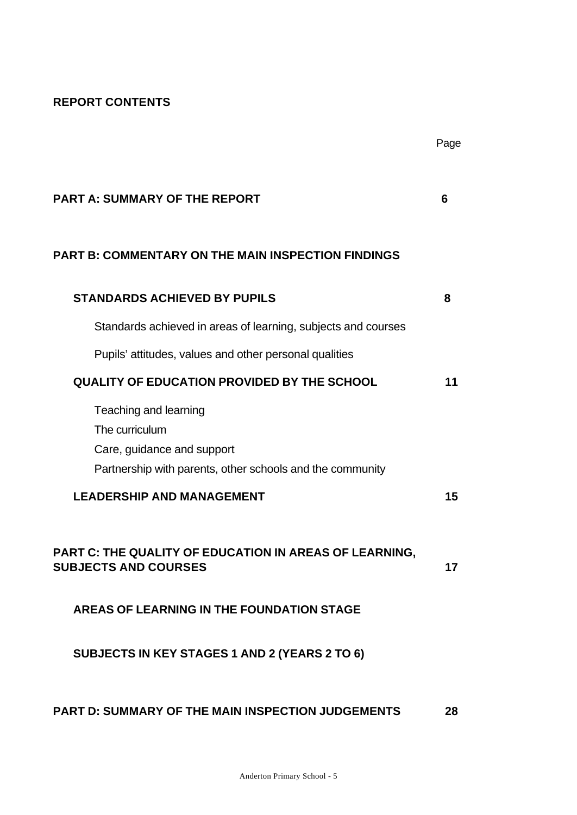# **REPORT CONTENTS**

|                                                                                                                                    | Page |
|------------------------------------------------------------------------------------------------------------------------------------|------|
| <b>PART A: SUMMARY OF THE REPORT</b>                                                                                               | 6    |
| <b>PART B: COMMENTARY ON THE MAIN INSPECTION FINDINGS</b>                                                                          |      |
| <b>STANDARDS ACHIEVED BY PUPILS</b>                                                                                                | 8    |
| Standards achieved in areas of learning, subjects and courses                                                                      |      |
| Pupils' attitudes, values and other personal qualities                                                                             |      |
| <b>QUALITY OF EDUCATION PROVIDED BY THE SCHOOL</b>                                                                                 | 11   |
| Teaching and learning<br>The curriculum<br>Care, guidance and support<br>Partnership with parents, other schools and the community |      |
| <b>LEADERSHIP AND MANAGEMENT</b>                                                                                                   | 15   |
| PART C: THE QUALITY OF EDUCATION IN AREAS OF LEARNING,<br><b>SUBJECTS AND COURSES</b>                                              | 17   |
| AREAS OF LEARNING IN THE FOUNDATION STAGE                                                                                          |      |
| SUBJECTS IN KEY STAGES 1 AND 2 (YEARS 2 TO 6)                                                                                      |      |
| PART D: SUMMARY OF THE MAIN INSPECTION JUDGEMENTS                                                                                  | 28   |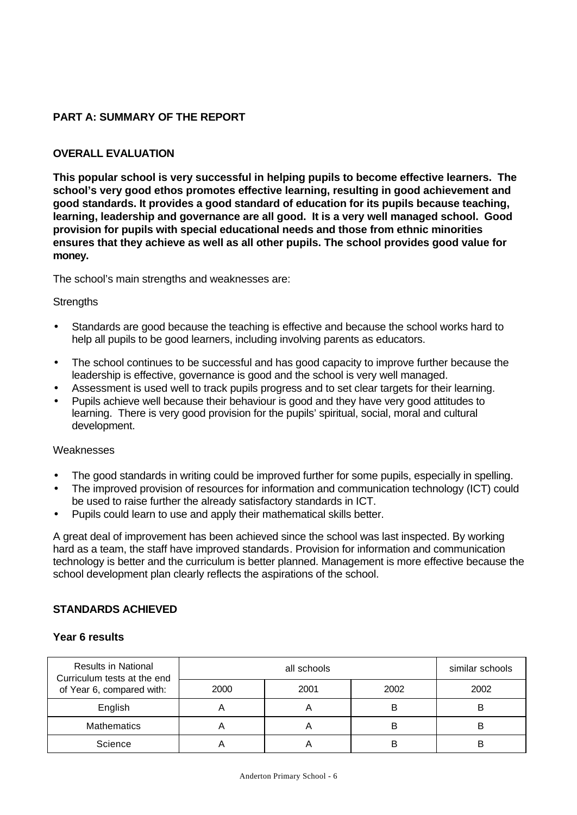### **PART A: SUMMARY OF THE REPORT**

#### **OVERALL EVALUATION**

**This popular school is very successful in helping pupils to become effective learners. The school's very good ethos promotes effective learning, resulting in good achievement and good standards. It provides a good standard of education for its pupils because teaching, learning, leadership and governance are all good. It is a very well managed school. Good provision for pupils with special educational needs and those from ethnic minorities ensures that they achieve as well as all other pupils. The school provides good value for money.**

The school's main strengths and weaknesses are:

#### **Strengths**

- Standards are good because the teaching is effective and because the school works hard to help all pupils to be good learners, including involving parents as educators.
- The school continues to be successful and has good capacity to improve further because the leadership is effective, governance is good and the school is very well managed.
- Assessment is used well to track pupils progress and to set clear targets for their learning.
- Pupils achieve well because their behaviour is good and they have very good attitudes to learning. There is very good provision for the pupils' spiritual, social, moral and cultural development.

#### Weaknesses

- The good standards in writing could be improved further for some pupils, especially in spelling.
- The improved provision of resources for information and communication technology (ICT) could be used to raise further the already satisfactory standards in ICT.
- Pupils could learn to use and apply their mathematical skills better.

A great deal of improvement has been achieved since the school was last inspected. By working hard as a team, the staff have improved standards. Provision for information and communication technology is better and the curriculum is better planned. Management is more effective because the school development plan clearly reflects the aspirations of the school.

#### **STANDARDS ACHIEVED**

#### **Year 6 results**

| <b>Results in National</b><br>Curriculum tests at the end |      | similar schools |      |      |
|-----------------------------------------------------------|------|-----------------|------|------|
| of Year 6, compared with:                                 | 2000 | 2001            | 2002 | 2002 |
| English                                                   |      |                 | B    | в    |
| <b>Mathematics</b>                                        |      |                 | B    | в    |
| Science                                                   |      |                 | B    | B    |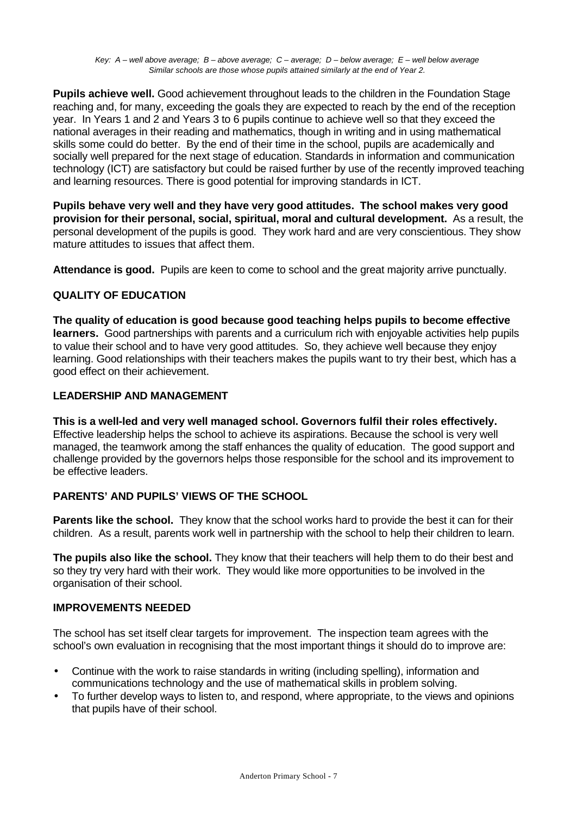**Pupils achieve well.** Good achievement throughout leads to the children in the Foundation Stage reaching and, for many, exceeding the goals they are expected to reach by the end of the reception year. In Years 1 and 2 and Years 3 to 6 pupils continue to achieve well so that they exceed the national averages in their reading and mathematics, though in writing and in using mathematical skills some could do better. By the end of their time in the school, pupils are academically and socially well prepared for the next stage of education. Standards in information and communication technology (ICT) are satisfactory but could be raised further by use of the recently improved teaching and learning resources. There is good potential for improving standards in ICT.

**Pupils behave very well and they have very good attitudes. The school makes very good provision for their personal, social, spiritual, moral and cultural development.** As a result, the personal development of the pupils is good. They work hard and are very conscientious. They show mature attitudes to issues that affect them.

**Attendance is good.** Pupils are keen to come to school and the great majority arrive punctually.

# **QUALITY OF EDUCATION**

**The quality of education is good because good teaching helps pupils to become effective learners.** Good partnerships with parents and a curriculum rich with enjoyable activities help pupils to value their school and to have very good attitudes. So, they achieve well because they enjoy learning. Good relationships with their teachers makes the pupils want to try their best, which has a good effect on their achievement.

### **LEADERSHIP AND MANAGEMENT**

**This is a well-led and very well managed school. Governors fulfil their roles effectively.** Effective leadership helps the school to achieve its aspirations. Because the school is very well managed, the teamwork among the staff enhances the quality of education. The good support and challenge provided by the governors helps those responsible for the school and its improvement to be effective leaders.

# **PARENTS' AND PUPILS' VIEWS OF THE SCHOOL**

**Parents like the school.** They know that the school works hard to provide the best it can for their children. As a result, parents work well in partnership with the school to help their children to learn.

**The pupils also like the school.** They know that their teachers will help them to do their best and so they try very hard with their work. They would like more opportunities to be involved in the organisation of their school.

#### **IMPROVEMENTS NEEDED**

The school has set itself clear targets for improvement. The inspection team agrees with the school's own evaluation in recognising that the most important things it should do to improve are:

- Continue with the work to raise standards in writing (including spelling), information and communications technology and the use of mathematical skills in problem solving.
- To further develop ways to listen to, and respond, where appropriate, to the views and opinions that pupils have of their school.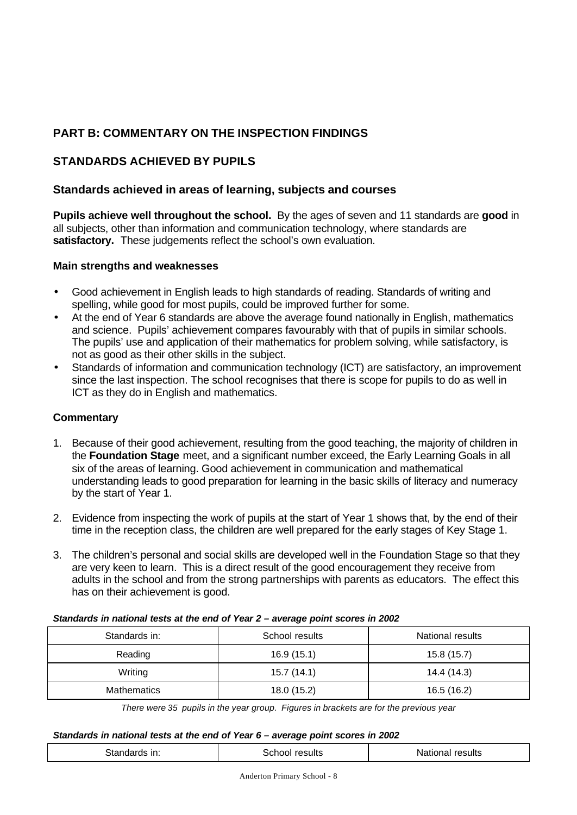# **PART B: COMMENTARY ON THE INSPECTION FINDINGS**

# **STANDARDS ACHIEVED BY PUPILS**

# **Standards achieved in areas of learning, subjects and courses**

**Pupils achieve well throughout the school.** By the ages of seven and 11 standards are **good** in all subjects, other than information and communication technology, where standards are satisfactory. These judgements reflect the school's own evaluation.

### **Main strengths and weaknesses**

- Good achievement in English leads to high standards of reading. Standards of writing and spelling, while good for most pupils, could be improved further for some.
- At the end of Year 6 standards are above the average found nationally in English, mathematics and science. Pupils' achievement compares favourably with that of pupils in similar schools. The pupils' use and application of their mathematics for problem solving, while satisfactory, is not as good as their other skills in the subject.
- Standards of information and communication technology (ICT) are satisfactory, an improvement since the last inspection. The school recognises that there is scope for pupils to do as well in ICT as they do in English and mathematics.

# **Commentary**

- 1. Because of their good achievement, resulting from the good teaching, the majority of children in the **Foundation Stage** meet, and a significant number exceed, the Early Learning Goals in all six of the areas of learning. Good achievement in communication and mathematical understanding leads to good preparation for learning in the basic skills of literacy and numeracy by the start of Year 1.
- 2. Evidence from inspecting the work of pupils at the start of Year 1 shows that, by the end of their time in the reception class, the children are well prepared for the early stages of Key Stage 1.
- 3. The children's personal and social skills are developed well in the Foundation Stage so that they are very keen to learn. This is a direct result of the good encouragement they receive from adults in the school and from the strong partnerships with parents as educators. The effect this has on their achievement is good.

| Standards in:      | School results | National results |  |  |  |  |  |
|--------------------|----------------|------------------|--|--|--|--|--|
| Reading            | 16.9(15.1)     | 15.8 (15.7)      |  |  |  |  |  |
| Writing            | 15.7(14.1)     | 14.4 (14.3)      |  |  |  |  |  |
| <b>Mathematics</b> | 18.0 (15.2)    | 16.5 (16.2)      |  |  |  |  |  |

#### *Standards in national tests at the end of Year 2 – average point scores in 2002*

*There were 35 pupils in the year group. Figures in brackets are for the previous year*

#### *Standards in national tests at the end of Year 6 – average point scores in 2002*

| ndards in: | results | results           |
|------------|---------|-------------------|
| .          | school  | <u>i</u> national |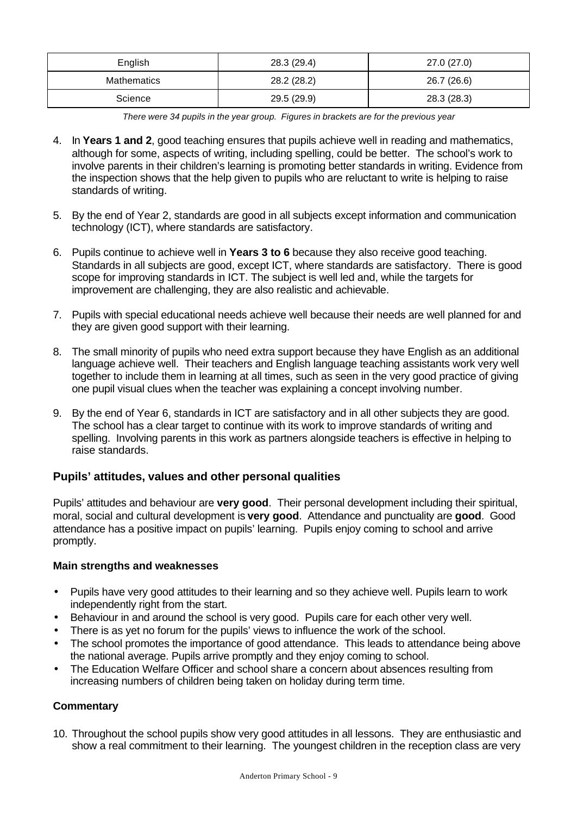| English     | 28.3 (29.4) | 27.0 (27.0) |
|-------------|-------------|-------------|
| Mathematics | 28.2 (28.2) | 26.7 (26.6) |
| Science     | 29.5 (29.9) | 28.3 (28.3) |

- 4. In **Years 1 and 2**, good teaching ensures that pupils achieve well in reading and mathematics, although for some, aspects of writing, including spelling, could be better. The school's work to involve parents in their children's learning is promoting better standards in writing. Evidence from the inspection shows that the help given to pupils who are reluctant to write is helping to raise standards of writing.
- 5. By the end of Year 2, standards are good in all subjects except information and communication technology (ICT), where standards are satisfactory.
- 6. Pupils continue to achieve well in **Years 3 to 6** because they also receive good teaching. Standards in all subjects are good, except ICT, where standards are satisfactory. There is good scope for improving standards in ICT. The subject is well led and, while the targets for improvement are challenging, they are also realistic and achievable.
- 7. Pupils with special educational needs achieve well because their needs are well planned for and they are given good support with their learning.
- 8. The small minority of pupils who need extra support because they have English as an additional language achieve well. Their teachers and English language teaching assistants work very well together to include them in learning at all times, such as seen in the very good practice of giving one pupil visual clues when the teacher was explaining a concept involving number.
- 9. By the end of Year 6, standards in ICT are satisfactory and in all other subjects they are good. The school has a clear target to continue with its work to improve standards of writing and spelling. Involving parents in this work as partners alongside teachers is effective in helping to raise standards.

# **Pupils' attitudes, values and other personal qualities**

Pupils' attitudes and behaviour are **very good**. Their personal development including their spiritual, moral, social and cultural development is **very good**. Attendance and punctuality are **good**. Good attendance has a positive impact on pupils' learning. Pupils enjoy coming to school and arrive promptly.

#### **Main strengths and weaknesses**

- Pupils have very good attitudes to their learning and so they achieve well. Pupils learn to work independently right from the start.
- Behaviour in and around the school is very good. Pupils care for each other very well.
- There is as yet no forum for the pupils' views to influence the work of the school.
- The school promotes the importance of good attendance. This leads to attendance being above the national average. Pupils arrive promptly and they enjoy coming to school.
- The Education Welfare Officer and school share a concern about absences resulting from increasing numbers of children being taken on holiday during term time.

# **Commentary**

10. Throughout the school pupils show very good attitudes in all lessons. They are enthusiastic and show a real commitment to their learning. The youngest children in the reception class are very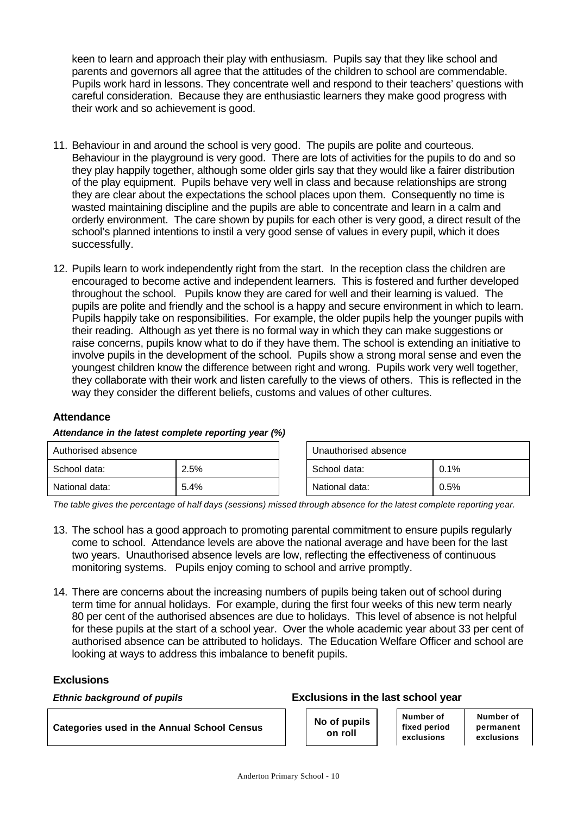keen to learn and approach their play with enthusiasm. Pupils say that they like school and parents and governors all agree that the attitudes of the children to school are commendable. Pupils work hard in lessons. They concentrate well and respond to their teachers' questions with careful consideration. Because they are enthusiastic learners they make good progress with their work and so achievement is good.

- 11. Behaviour in and around the school is very good. The pupils are polite and courteous. Behaviour in the playground is very good. There are lots of activities for the pupils to do and so they play happily together, although some older girls say that they would like a fairer distribution of the play equipment. Pupils behave very well in class and because relationships are strong they are clear about the expectations the school places upon them. Consequently no time is wasted maintaining discipline and the pupils are able to concentrate and learn in a calm and orderly environment. The care shown by pupils for each other is very good, a direct result of the school's planned intentions to instil a very good sense of values in every pupil, which it does successfully.
- 12. Pupils learn to work independently right from the start. In the reception class the children are encouraged to become active and independent learners. This is fostered and further developed throughout the school. Pupils know they are cared for well and their learning is valued. The pupils are polite and friendly and the school is a happy and secure environment in which to learn. Pupils happily take on responsibilities. For example, the older pupils help the younger pupils with their reading. Although as yet there is no formal way in which they can make suggestions or raise concerns, pupils know what to do if they have them. The school is extending an initiative to involve pupils in the development of the school. Pupils show a strong moral sense and even the youngest children know the difference between right and wrong. Pupils work very well together, they collaborate with their work and listen carefully to the views of others. This is reflected in the way they consider the different beliefs, customs and values of other cultures.

#### **Attendance**

#### *Attendance in the latest complete reporting year (%)*

| Authorised absence   |      | Unauthorised absence |      |
|----------------------|------|----------------------|------|
| 2.5%<br>School data: |      | School data:         | 0.1% |
| National data:       | 5.4% | National data:       | 0.5% |

*The table gives the percentage of half days (sessions) missed through absence for the latest complete reporting year.*

- 13. The school has a good approach to promoting parental commitment to ensure pupils regularly come to school. Attendance levels are above the national average and have been for the last two years. Unauthorised absence levels are low, reflecting the effectiveness of continuous monitoring systems. Pupils enjoy coming to school and arrive promptly.
- 14. There are concerns about the increasing numbers of pupils being taken out of school during term time for annual holidays. For example, during the first four weeks of this new term nearly 80 per cent of the authorised absences are due to holidays. This level of absence is not helpful for these pupils at the start of a school year. Over the whole academic year about 33 per cent of authorised absence can be attributed to holidays. The Education Welfare Officer and school are looking at ways to address this imbalance to benefit pupils.

#### **Exclusions**

| <b>Ethnic background of pupils</b>                 | Exclusions in the last school year |                                         |                                      |
|----------------------------------------------------|------------------------------------|-----------------------------------------|--------------------------------------|
| <b>Categories used in the Annual School Census</b> | No of pupils<br>on roll            | Number of<br>fixed period<br>exclusions | Number of<br>permanent<br>exclusions |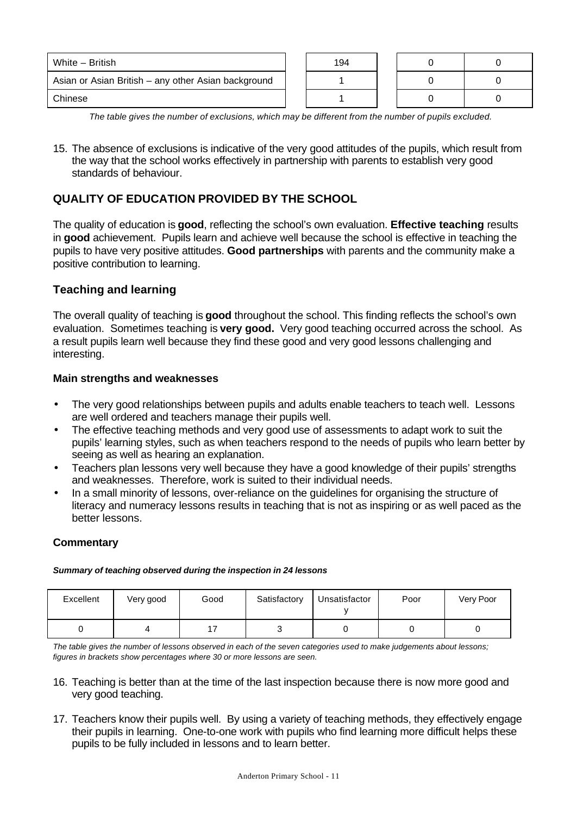| White – British                                     | 194 |  |  |
|-----------------------------------------------------|-----|--|--|
| Asian or Asian British – any other Asian background |     |  |  |
| Chinese                                             |     |  |  |

*The table gives the number of exclusions, which may be different from the number of pupils excluded.*

15. The absence of exclusions is indicative of the very good attitudes of the pupils, which result from the way that the school works effectively in partnership with parents to establish very good standards of behaviour.

# **QUALITY OF EDUCATION PROVIDED BY THE SCHOOL**

The quality of education is **good**, reflecting the school's own evaluation. **Effective teaching** results in **good** achievement. Pupils learn and achieve well because the school is effective in teaching the pupils to have very positive attitudes. **Good partnerships** with parents and the community make a positive contribution to learning.

# **Teaching and learning**

The overall quality of teaching is **good** throughout the school. This finding reflects the school's own evaluation. Sometimes teaching is **very good.** Very good teaching occurred across the school. As a result pupils learn well because they find these good and very good lessons challenging and interesting.

### **Main strengths and weaknesses**

- The very good relationships between pupils and adults enable teachers to teach well. Lessons are well ordered and teachers manage their pupils well.
- The effective teaching methods and very good use of assessments to adapt work to suit the pupils' learning styles, such as when teachers respond to the needs of pupils who learn better by seeing as well as hearing an explanation.
- Teachers plan lessons very well because they have a good knowledge of their pupils' strengths and weaknesses. Therefore, work is suited to their individual needs.
- In a small minority of lessons, over-reliance on the guidelines for organising the structure of literacy and numeracy lessons results in teaching that is not as inspiring or as well paced as the better lessons.

# **Commentary**

#### *Summary of teaching observed during the inspection in 24 lessons*

| Excellent | Very good | Good | Satisfactory | Unsatisfactor | Poor | Very Poor |
|-----------|-----------|------|--------------|---------------|------|-----------|
|           |           |      |              |               |      |           |

*The table gives the number of lessons observed in each of the seven categories used to make judgements about lessons; figures in brackets show percentages where 30 or more lessons are seen.*

- 16. Teaching is better than at the time of the last inspection because there is now more good and very good teaching.
- 17. Teachers know their pupils well. By using a variety of teaching methods, they effectively engage their pupils in learning. One-to-one work with pupils who find learning more difficult helps these pupils to be fully included in lessons and to learn better.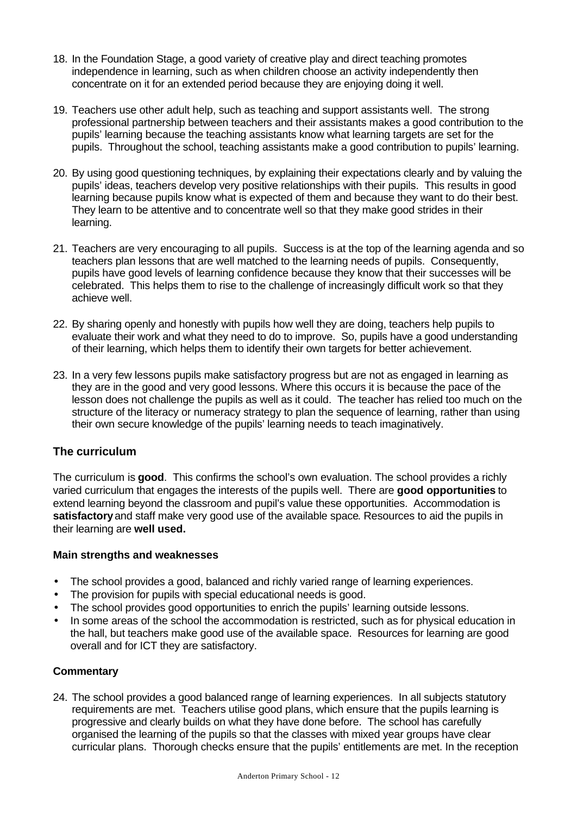- 18. In the Foundation Stage, a good variety of creative play and direct teaching promotes independence in learning, such as when children choose an activity independently then concentrate on it for an extended period because they are enjoying doing it well.
- 19. Teachers use other adult help, such as teaching and support assistants well. The strong professional partnership between teachers and their assistants makes a good contribution to the pupils' learning because the teaching assistants know what learning targets are set for the pupils. Throughout the school, teaching assistants make a good contribution to pupils' learning.
- 20. By using good questioning techniques, by explaining their expectations clearly and by valuing the pupils' ideas, teachers develop very positive relationships with their pupils. This results in good learning because pupils know what is expected of them and because they want to do their best. They learn to be attentive and to concentrate well so that they make good strides in their learning.
- 21. Teachers are very encouraging to all pupils. Success is at the top of the learning agenda and so teachers plan lessons that are well matched to the learning needs of pupils. Consequently, pupils have good levels of learning confidence because they know that their successes will be celebrated. This helps them to rise to the challenge of increasingly difficult work so that they achieve well.
- 22. By sharing openly and honestly with pupils how well they are doing, teachers help pupils to evaluate their work and what they need to do to improve. So, pupils have a good understanding of their learning, which helps them to identify their own targets for better achievement.
- 23. In a very few lessons pupils make satisfactory progress but are not as engaged in learning as they are in the good and very good lessons. Where this occurs it is because the pace of the lesson does not challenge the pupils as well as it could. The teacher has relied too much on the structure of the literacy or numeracy strategy to plan the sequence of learning, rather than using their own secure knowledge of the pupils' learning needs to teach imaginatively.

# **The curriculum**

The curriculum is **good**. This confirms the school's own evaluation. The school provides a richly varied curriculum that engages the interests of the pupils well. There are **good opportunities** to extend learning beyond the classroom and pupil's value these opportunities. Accommodation is **satisfactory** and staff make very good use of the available space. Resources to aid the pupils in their learning are **well used.**

# **Main strengths and weaknesses**

- The school provides a good, balanced and richly varied range of learning experiences.
- The provision for pupils with special educational needs is good.
- The school provides good opportunities to enrich the pupils' learning outside lessons.
- In some areas of the school the accommodation is restricted, such as for physical education in the hall, but teachers make good use of the available space. Resources for learning are good overall and for ICT they are satisfactory.

# **Commentary**

24. The school provides a good balanced range of learning experiences. In all subjects statutory requirements are met. Teachers utilise good plans, which ensure that the pupils learning is progressive and clearly builds on what they have done before. The school has carefully organised the learning of the pupils so that the classes with mixed year groups have clear curricular plans. Thorough checks ensure that the pupils' entitlements are met. In the reception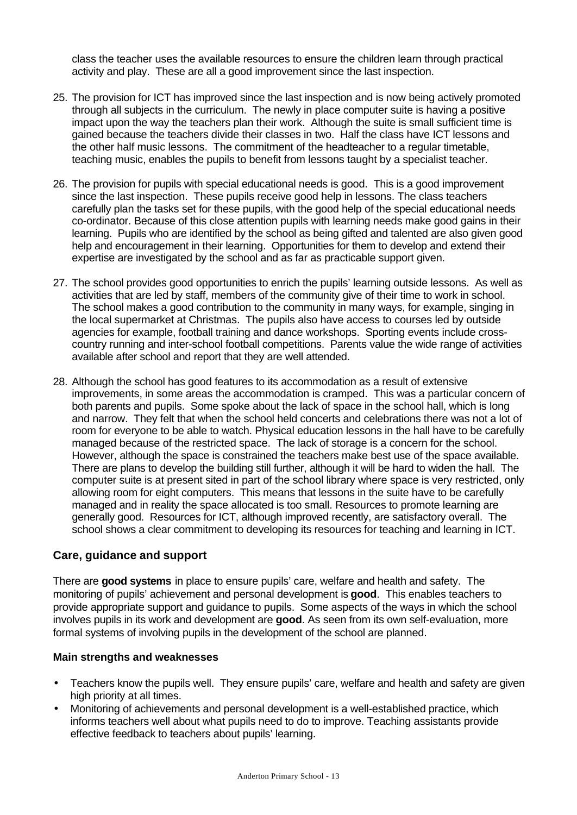class the teacher uses the available resources to ensure the children learn through practical activity and play. These are all a good improvement since the last inspection.

- 25. The provision for ICT has improved since the last inspection and is now being actively promoted through all subjects in the curriculum. The newly in place computer suite is having a positive impact upon the way the teachers plan their work. Although the suite is small sufficient time is gained because the teachers divide their classes in two. Half the class have ICT lessons and the other half music lessons. The commitment of the headteacher to a regular timetable, teaching music, enables the pupils to benefit from lessons taught by a specialist teacher.
- 26. The provision for pupils with special educational needs is good. This is a good improvement since the last inspection. These pupils receive good help in lessons. The class teachers carefully plan the tasks set for these pupils, with the good help of the special educational needs co-ordinator. Because of this close attention pupils with learning needs make good gains in their learning. Pupils who are identified by the school as being gifted and talented are also given good help and encouragement in their learning. Opportunities for them to develop and extend their expertise are investigated by the school and as far as practicable support given.
- 27. The school provides good opportunities to enrich the pupils' learning outside lessons. As well as activities that are led by staff, members of the community give of their time to work in school. The school makes a good contribution to the community in many ways, for example, singing in the local supermarket at Christmas. The pupils also have access to courses led by outside agencies for example, football training and dance workshops. Sporting events include crosscountry running and inter-school football competitions. Parents value the wide range of activities available after school and report that they are well attended.
- 28. Although the school has good features to its accommodation as a result of extensive improvements, in some areas the accommodation is cramped. This was a particular concern of both parents and pupils. Some spoke about the lack of space in the school hall, which is long and narrow. They felt that when the school held concerts and celebrations there was not a lot of room for everyone to be able to watch. Physical education lessons in the hall have to be carefully managed because of the restricted space. The lack of storage is a concern for the school. However, although the space is constrained the teachers make best use of the space available. There are plans to develop the building still further, although it will be hard to widen the hall. The computer suite is at present sited in part of the school library where space is very restricted, only allowing room for eight computers. This means that lessons in the suite have to be carefully managed and in reality the space allocated is too small. Resources to promote learning are generally good. Resources for ICT, although improved recently, are satisfactory overall. The school shows a clear commitment to developing its resources for teaching and learning in ICT.

# **Care, guidance and support**

There are **good systems** in place to ensure pupils' care, welfare and health and safety. The monitoring of pupils' achievement and personal development is **good**. This enables teachers to provide appropriate support and guidance to pupils. Some aspects of the ways in which the school involves pupils in its work and development are **good**. As seen from its own self-evaluation, more formal systems of involving pupils in the development of the school are planned.

#### **Main strengths and weaknesses**

- Teachers know the pupils well. They ensure pupils' care, welfare and health and safety are given high priority at all times.
- Monitoring of achievements and personal development is a well-established practice, which informs teachers well about what pupils need to do to improve. Teaching assistants provide effective feedback to teachers about pupils' learning.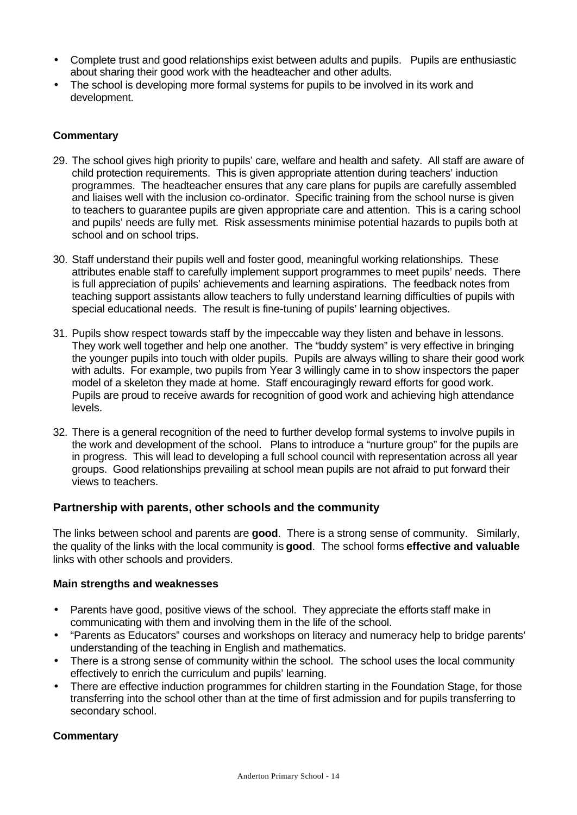- Complete trust and good relationships exist between adults and pupils. Pupils are enthusiastic about sharing their good work with the headteacher and other adults.
- The school is developing more formal systems for pupils to be involved in its work and development.

#### **Commentary**

- 29. The school gives high priority to pupils' care, welfare and health and safety. All staff are aware of child protection requirements. This is given appropriate attention during teachers' induction programmes. The headteacher ensures that any care plans for pupils are carefully assembled and liaises well with the inclusion co-ordinator. Specific training from the school nurse is given to teachers to guarantee pupils are given appropriate care and attention. This is a caring school and pupils' needs are fully met. Risk assessments minimise potential hazards to pupils both at school and on school trips.
- 30. Staff understand their pupils well and foster good, meaningful working relationships. These attributes enable staff to carefully implement support programmes to meet pupils' needs. There is full appreciation of pupils' achievements and learning aspirations. The feedback notes from teaching support assistants allow teachers to fully understand learning difficulties of pupils with special educational needs. The result is fine-tuning of pupils' learning objectives.
- 31. Pupils show respect towards staff by the impeccable way they listen and behave in lessons. They work well together and help one another. The "buddy system" is very effective in bringing the younger pupils into touch with older pupils. Pupils are always willing to share their good work with adults. For example, two pupils from Year 3 willingly came in to show inspectors the paper model of a skeleton they made at home. Staff encouragingly reward efforts for good work. Pupils are proud to receive awards for recognition of good work and achieving high attendance levels.
- 32. There is a general recognition of the need to further develop formal systems to involve pupils in the work and development of the school. Plans to introduce a "nurture group" for the pupils are in progress. This will lead to developing a full school council with representation across all year groups. Good relationships prevailing at school mean pupils are not afraid to put forward their views to teachers.

# **Partnership with parents, other schools and the community**

The links between school and parents are **good**. There is a strong sense of community. Similarly, the quality of the links with the local community is **good**. The school forms **effective and valuable** links with other schools and providers.

#### **Main strengths and weaknesses**

- Parents have good, positive views of the school. They appreciate the efforts staff make in communicating with them and involving them in the life of the school.
- "Parents as Educators" courses and workshops on literacy and numeracy help to bridge parents' understanding of the teaching in English and mathematics.
- There is a strong sense of community within the school. The school uses the local community effectively to enrich the curriculum and pupils' learning.
- There are effective induction programmes for children starting in the Foundation Stage, for those transferring into the school other than at the time of first admission and for pupils transferring to secondary school.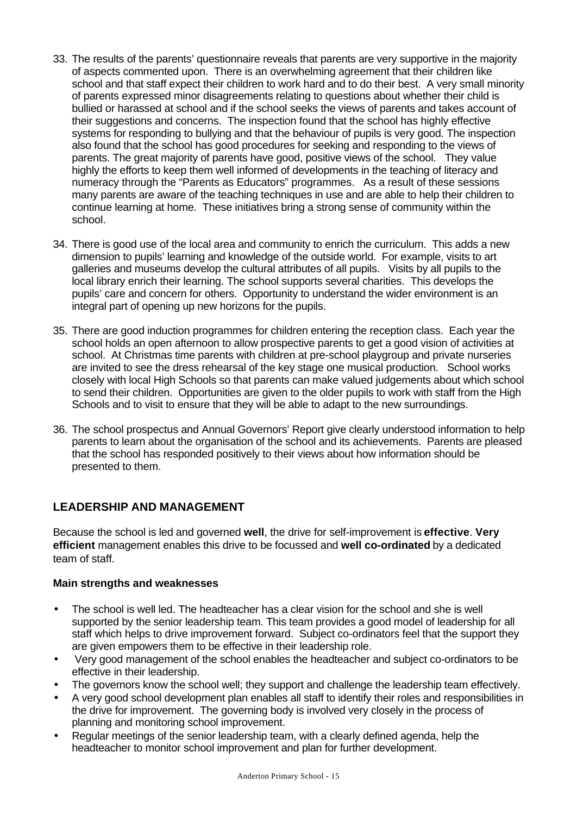- 33. The results of the parents' questionnaire reveals that parents are very supportive in the majority of aspects commented upon. There is an overwhelming agreement that their children like school and that staff expect their children to work hard and to do their best. A very small minority of parents expressed minor disagreements relating to questions about whether their child is bullied or harassed at school and if the school seeks the views of parents and takes account of their suggestions and concerns. The inspection found that the school has highly effective systems for responding to bullying and that the behaviour of pupils is very good. The inspection also found that the school has good procedures for seeking and responding to the views of parents. The great majority of parents have good, positive views of the school. They value highly the efforts to keep them well informed of developments in the teaching of literacy and numeracy through the "Parents as Educators" programmes. As a result of these sessions many parents are aware of the teaching techniques in use and are able to help their children to continue learning at home. These initiatives bring a strong sense of community within the school.
- 34. There is good use of the local area and community to enrich the curriculum. This adds a new dimension to pupils' learning and knowledge of the outside world. For example, visits to art galleries and museums develop the cultural attributes of all pupils. Visits by all pupils to the local library enrich their learning. The school supports several charities. This develops the pupils' care and concern for others. Opportunity to understand the wider environment is an integral part of opening up new horizons for the pupils.
- 35. There are good induction programmes for children entering the reception class. Each year the school holds an open afternoon to allow prospective parents to get a good vision of activities at school. At Christmas time parents with children at pre-school playgroup and private nurseries are invited to see the dress rehearsal of the key stage one musical production. School works closely with local High Schools so that parents can make valued judgements about which school to send their children. Opportunities are given to the older pupils to work with staff from the High Schools and to visit to ensure that they will be able to adapt to the new surroundings.
- 36. The school prospectus and Annual Governors' Report give clearly understood information to help parents to learn about the organisation of the school and its achievements. Parents are pleased that the school has responded positively to their views about how information should be presented to them.

# **LEADERSHIP AND MANAGEMENT**

Because the school is led and governed **well**, the drive for self-improvement is **effective**. **Very efficient** management enables this drive to be focussed and **well co-ordinated** by a dedicated team of staff.

# **Main strengths and weaknesses**

- The school is well led. The headteacher has a clear vision for the school and she is well supported by the senior leadership team. This team provides a good model of leadership for all staff which helps to drive improvement forward. Subject co-ordinators feel that the support they are given empowers them to be effective in their leadership role.
- Very good management of the school enables the headteacher and subject co-ordinators to be effective in their leadership.
- The governors know the school well; they support and challenge the leadership team effectively.
- A very good school development plan enables all staff to identify their roles and responsibilities in the drive for improvement. The governing body is involved very closely in the process of planning and monitoring school improvement.
- Regular meetings of the senior leadership team, with a clearly defined agenda, help the headteacher to monitor school improvement and plan for further development.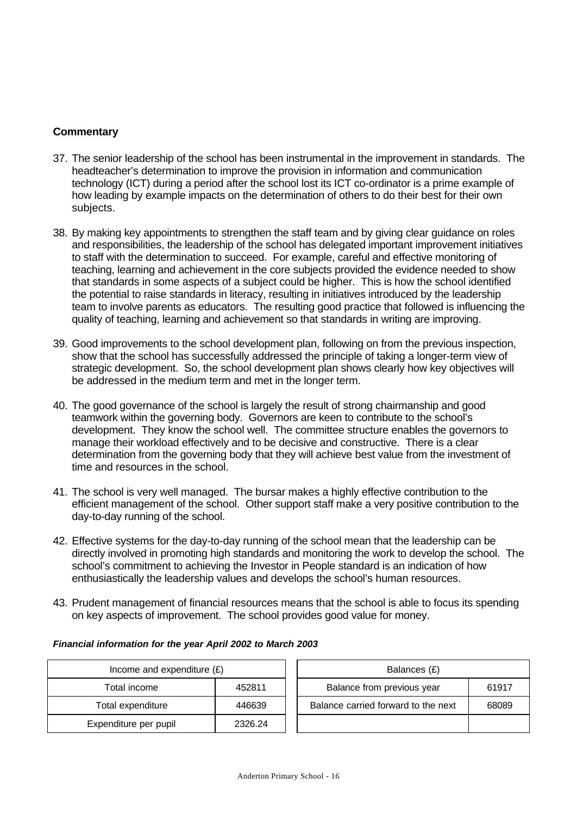### **Commentary**

- 37. The senior leadership of the school has been instrumental in the improvement in standards. The headteacher's determination to improve the provision in information and communication technology (ICT) during a period after the school lost its ICT co-ordinator is a prime example of how leading by example impacts on the determination of others to do their best for their own subjects.
- 38. By making key appointments to strengthen the staff team and by giving clear guidance on roles and responsibilities, the leadership of the school has delegated important improvement initiatives to staff with the determination to succeed. For example, careful and effective monitoring of teaching, learning and achievement in the core subjects provided the evidence needed to show that standards in some aspects of a subject could be higher. This is how the school identified the potential to raise standards in literacy, resulting in initiatives introduced by the leadership team to involve parents as educators. The resulting good practice that followed is influencing the quality of teaching, learning and achievement so that standards in writing are improving.
- 39. Good improvements to the school development plan, following on from the previous inspection, show that the school has successfully addressed the principle of taking a longer-term view of strategic development. So, the school development plan shows clearly how key objectives will be addressed in the medium term and met in the longer term.
- 40. The good governance of the school is largely the result of strong chairmanship and good teamwork within the governing body. Governors are keen to contribute to the school's development. They know the school well. The committee structure enables the governors to manage their workload effectively and to be decisive and constructive. There is a clear determination from the governing body that they will achieve best value from the investment of time and resources in the school.
- 41. The school is very well managed. The bursar makes a highly effective contribution to the efficient management of the school. Other support staff make a very positive contribution to the day-to-day running of the school.
- 42. Effective systems for the day-to-day running of the school mean that the leadership can be directly involved in promoting high standards and monitoring the work to develop the school. The school's commitment to achieving the Investor in People standard is an indication of how enthusiastically the leadership values and develops the school's human resources.
- 43. Prudent management of financial resources means that the school is able to focus its spending on key aspects of improvement. The school provides good value for money.

| Income and expenditure $(E)$ |         | Balances (£)                        |       |
|------------------------------|---------|-------------------------------------|-------|
| Total income                 | 452811  | Balance from previous year          | 61917 |
| Total expenditure            | 446639  | Balance carried forward to the next | 68089 |
| Expenditure per pupil        | 2326.24 |                                     |       |

#### *Financial information for the year April 2002 to March 2003*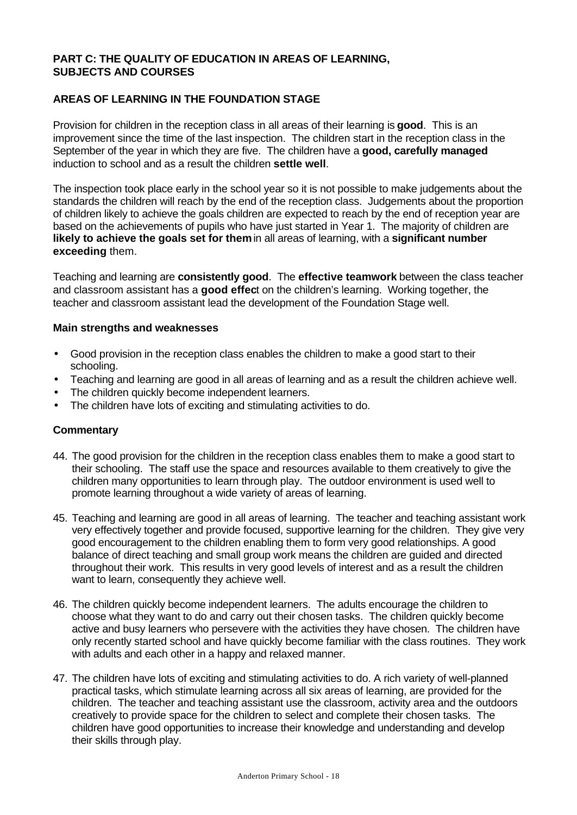#### **PART C: THE QUALITY OF EDUCATION IN AREAS OF LEARNING, SUBJECTS AND COURSES**

### **AREAS OF LEARNING IN THE FOUNDATION STAGE**

Provision for children in the reception class in all areas of their learning is **good**. This is an improvement since the time of the last inspection. The children start in the reception class in the September of the year in which they are five. The children have a **good, carefully managed** induction to school and as a result the children **settle well**.

The inspection took place early in the school year so it is not possible to make judgements about the standards the children will reach by the end of the reception class. Judgements about the proportion of children likely to achieve the goals children are expected to reach by the end of reception year are based on the achievements of pupils who have just started in Year 1. The majority of children are **likely to achieve the goals set for them** in all areas of learning, with a **significant number exceeding** them.

Teaching and learning are **consistently good**. The **effective teamwork** between the class teacher and classroom assistant has a **good effec**t on the children's learning. Working together, the teacher and classroom assistant lead the development of the Foundation Stage well.

#### **Main strengths and weaknesses**

- Good provision in the reception class enables the children to make a good start to their schooling.
- Teaching and learning are good in all areas of learning and as a result the children achieve well.
- The children quickly become independent learners.
- The children have lots of exciting and stimulating activities to do.

- 44. The good provision for the children in the reception class enables them to make a good start to their schooling. The staff use the space and resources available to them creatively to give the children many opportunities to learn through play. The outdoor environment is used well to promote learning throughout a wide variety of areas of learning.
- 45. Teaching and learning are good in all areas of learning. The teacher and teaching assistant work very effectively together and provide focused, supportive learning for the children. They give very good encouragement to the children enabling them to form very good relationships. A good balance of direct teaching and small group work means the children are guided and directed throughout their work. This results in very good levels of interest and as a result the children want to learn, consequently they achieve well.
- 46. The children quickly become independent learners. The adults encourage the children to choose what they want to do and carry out their chosen tasks. The children quickly become active and busy learners who persevere with the activities they have chosen. The children have only recently started school and have quickly become familiar with the class routines. They work with adults and each other in a happy and relaxed manner.
- 47. The children have lots of exciting and stimulating activities to do. A rich variety of well-planned practical tasks, which stimulate learning across all six areas of learning, are provided for the children. The teacher and teaching assistant use the classroom, activity area and the outdoors creatively to provide space for the children to select and complete their chosen tasks. The children have good opportunities to increase their knowledge and understanding and develop their skills through play.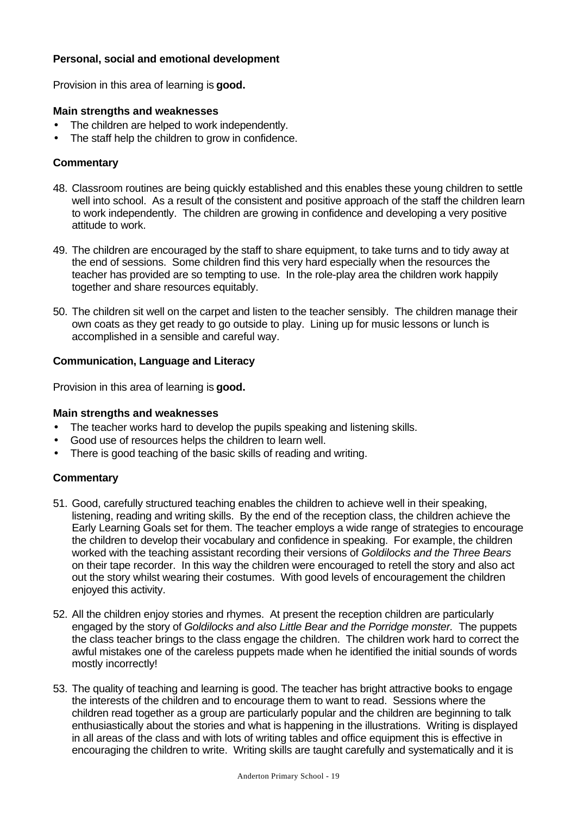### **Personal, social and emotional development**

Provision in this area of learning is **good.**

#### **Main strengths and weaknesses**

- The children are helped to work independently.
- The staff help the children to grow in confidence.

### **Commentary**

- 48. Classroom routines are being quickly established and this enables these young children to settle well into school. As a result of the consistent and positive approach of the staff the children learn to work independently. The children are growing in confidence and developing a very positive attitude to work.
- 49. The children are encouraged by the staff to share equipment, to take turns and to tidy away at the end of sessions. Some children find this very hard especially when the resources the teacher has provided are so tempting to use. In the role-play area the children work happily together and share resources equitably.
- 50. The children sit well on the carpet and listen to the teacher sensibly. The children manage their own coats as they get ready to go outside to play. Lining up for music lessons or lunch is accomplished in a sensible and careful way.

### **Communication, Language and Literacy**

Provision in this area of learning is **good.**

#### **Main strengths and weaknesses**

- The teacher works hard to develop the pupils speaking and listening skills.
- Good use of resources helps the children to learn well.
- There is good teaching of the basic skills of reading and writing.

- 51. Good, carefully structured teaching enables the children to achieve well in their speaking, listening, reading and writing skills. By the end of the reception class, the children achieve the Early Learning Goals set for them. The teacher employs a wide range of strategies to encourage the children to develop their vocabulary and confidence in speaking. For example, the children worked with the teaching assistant recording their versions of *Goldilocks and the Three Bears* on their tape recorder. In this way the children were encouraged to retell the story and also act out the story whilst wearing their costumes. With good levels of encouragement the children enjoyed this activity.
- 52. All the children enjoy stories and rhymes. At present the reception children are particularly engaged by the story of *Goldilocks and also Little Bear and the Porridge monster.* The puppets the class teacher brings to the class engage the children. The children work hard to correct the awful mistakes one of the careless puppets made when he identified the initial sounds of words mostly incorrectly!
- 53. The quality of teaching and learning is good. The teacher has bright attractive books to engage the interests of the children and to encourage them to want to read. Sessions where the children read together as a group are particularly popular and the children are beginning to talk enthusiastically about the stories and what is happening in the illustrations. Writing is displayed in all areas of the class and with lots of writing tables and office equipment this is effective in encouraging the children to write. Writing skills are taught carefully and systematically and it is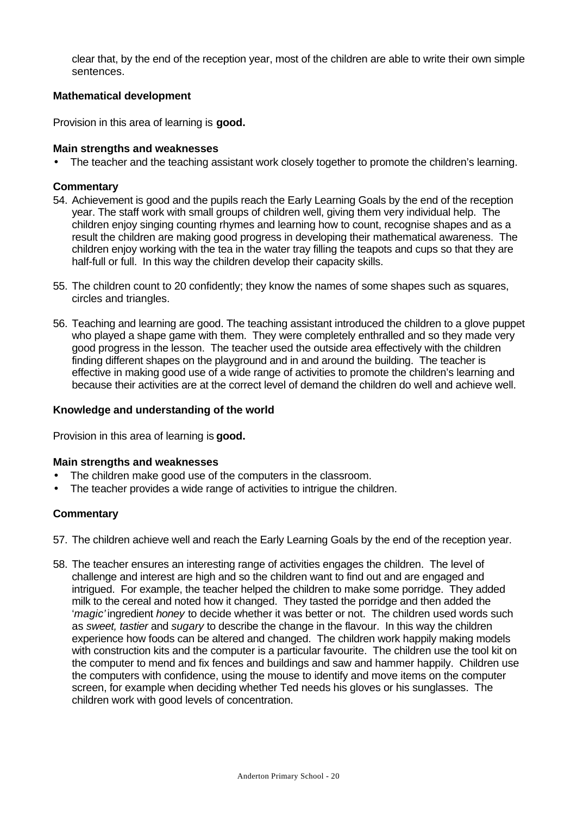clear that, by the end of the reception year, most of the children are able to write their own simple sentences.

#### **Mathematical development**

Provision in this area of learning is **good.**

#### **Main strengths and weaknesses**

• The teacher and the teaching assistant work closely together to promote the children's learning.

#### **Commentary**

- 54. Achievement is good and the pupils reach the Early Learning Goals by the end of the reception year. The staff work with small groups of children well, giving them very individual help. The children enjoy singing counting rhymes and learning how to count, recognise shapes and as a result the children are making good progress in developing their mathematical awareness. The children enjoy working with the tea in the water tray filling the teapots and cups so that they are half-full or full. In this way the children develop their capacity skills.
- 55. The children count to 20 confidently; they know the names of some shapes such as squares, circles and triangles.
- 56. Teaching and learning are good. The teaching assistant introduced the children to a glove puppet who played a shape game with them. They were completely enthralled and so they made very good progress in the lesson. The teacher used the outside area effectively with the children finding different shapes on the playground and in and around the building. The teacher is effective in making good use of a wide range of activities to promote the children's learning and because their activities are at the correct level of demand the children do well and achieve well.

#### **Knowledge and understanding of the world**

Provision in this area of learning is **good.**

#### **Main strengths and weaknesses**

- The children make good use of the computers in the classroom.
- The teacher provides a wide range of activities to intrigue the children.

- 57. The children achieve well and reach the Early Learning Goals by the end of the reception year.
- 58. The teacher ensures an interesting range of activities engages the children. The level of challenge and interest are high and so the children want to find out and are engaged and intrigued. For example, the teacher helped the children to make some porridge. They added milk to the cereal and noted how it changed. They tasted the porridge and then added the '*magic'* ingredient *honey* to decide whether it was better or not. The children used words such as *sweet, tastier* and *sugary* to describe the change in the flavour. In this way the children experience how foods can be altered and changed. The children work happily making models with construction kits and the computer is a particular favourite. The children use the tool kit on the computer to mend and fix fences and buildings and saw and hammer happily. Children use the computers with confidence, using the mouse to identify and move items on the computer screen, for example when deciding whether Ted needs his gloves or his sunglasses. The children work with good levels of concentration.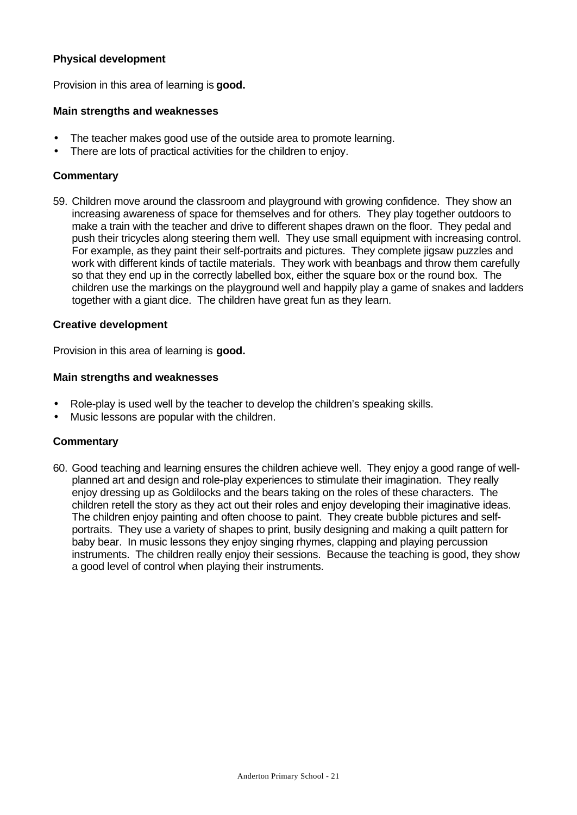#### **Physical development**

Provision in this area of learning is **good.**

#### **Main strengths and weaknesses**

- The teacher makes good use of the outside area to promote learning.
- There are lots of practical activities for the children to enjoy.

### **Commentary**

59. Children move around the classroom and playground with growing confidence. They show an increasing awareness of space for themselves and for others. They play together outdoors to make a train with the teacher and drive to different shapes drawn on the floor. They pedal and push their tricycles along steering them well. They use small equipment with increasing control. For example, as they paint their self-portraits and pictures. They complete jigsaw puzzles and work with different kinds of tactile materials. They work with beanbags and throw them carefully so that they end up in the correctly labelled box, either the square box or the round box. The children use the markings on the playground well and happily play a game of snakes and ladders together with a giant dice. The children have great fun as they learn.

### **Creative development**

Provision in this area of learning is **good.**

#### **Main strengths and weaknesses**

- Role-play is used well by the teacher to develop the children's speaking skills.
- Music lessons are popular with the children.

#### **Commentary**

60. Good teaching and learning ensures the children achieve well. They enjoy a good range of wellplanned art and design and role-play experiences to stimulate their imagination. They really enjoy dressing up as Goldilocks and the bears taking on the roles of these characters. The children retell the story as they act out their roles and enjoy developing their imaginative ideas. The children enjoy painting and often choose to paint. They create bubble pictures and selfportraits. They use a variety of shapes to print, busily designing and making a quilt pattern for baby bear. In music lessons they enjoy singing rhymes, clapping and playing percussion instruments. The children really enjoy their sessions. Because the teaching is good, they show a good level of control when playing their instruments.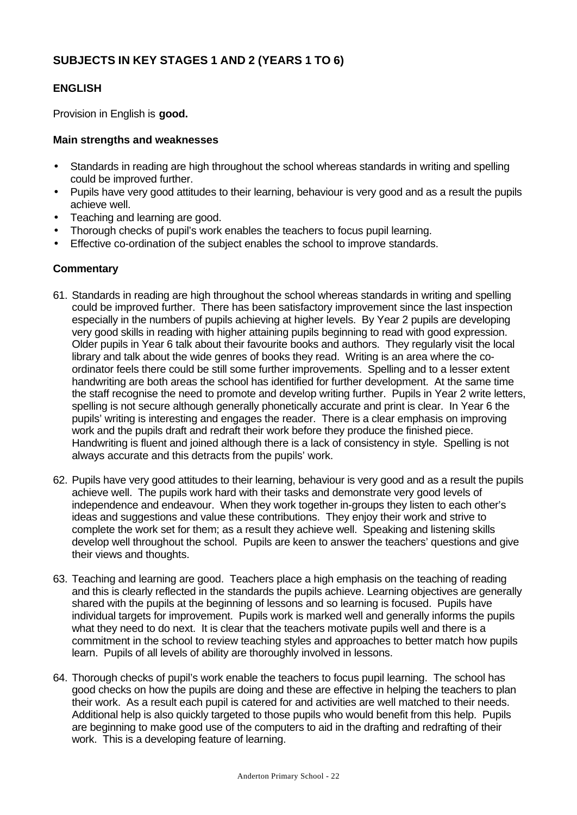# **SUBJECTS IN KEY STAGES 1 AND 2 (YEARS 1 TO 6)**

# **ENGLISH**

Provision in English is **good.**

#### **Main strengths and weaknesses**

- Standards in reading are high throughout the school whereas standards in writing and spelling could be improved further.
- Pupils have very good attitudes to their learning, behaviour is very good and as a result the pupils achieve well.
- Teaching and learning are good.
- Thorough checks of pupil's work enables the teachers to focus pupil learning.
- Effective co-ordination of the subject enables the school to improve standards.

- 61. Standards in reading are high throughout the school whereas standards in writing and spelling could be improved further. There has been satisfactory improvement since the last inspection especially in the numbers of pupils achieving at higher levels. By Year 2 pupils are developing very good skills in reading with higher attaining pupils beginning to read with good expression. Older pupils in Year 6 talk about their favourite books and authors. They regularly visit the local library and talk about the wide genres of books they read. Writing is an area where the coordinator feels there could be still some further improvements. Spelling and to a lesser extent handwriting are both areas the school has identified for further development. At the same time the staff recognise the need to promote and develop writing further. Pupils in Year 2 write letters, spelling is not secure although generally phonetically accurate and print is clear. In Year 6 the pupils' writing is interesting and engages the reader. There is a clear emphasis on improving work and the pupils draft and redraft their work before they produce the finished piece. Handwriting is fluent and joined although there is a lack of consistency in style. Spelling is not always accurate and this detracts from the pupils' work.
- 62. Pupils have very good attitudes to their learning, behaviour is very good and as a result the pupils achieve well. The pupils work hard with their tasks and demonstrate very good levels of independence and endeavour. When they work together in-groups they listen to each other's ideas and suggestions and value these contributions. They enjoy their work and strive to complete the work set for them; as a result they achieve well. Speaking and listening skills develop well throughout the school. Pupils are keen to answer the teachers' questions and give their views and thoughts.
- 63. Teaching and learning are good. Teachers place a high emphasis on the teaching of reading and this is clearly reflected in the standards the pupils achieve. Learning objectives are generally shared with the pupils at the beginning of lessons and so learning is focused. Pupils have individual targets for improvement. Pupils work is marked well and generally informs the pupils what they need to do next. It is clear that the teachers motivate pupils well and there is a commitment in the school to review teaching styles and approaches to better match how pupils learn. Pupils of all levels of ability are thoroughly involved in lessons.
- 64. Thorough checks of pupil's work enable the teachers to focus pupil learning. The school has good checks on how the pupils are doing and these are effective in helping the teachers to plan their work. As a result each pupil is catered for and activities are well matched to their needs. Additional help is also quickly targeted to those pupils who would benefit from this help. Pupils are beginning to make good use of the computers to aid in the drafting and redrafting of their work. This is a developing feature of learning.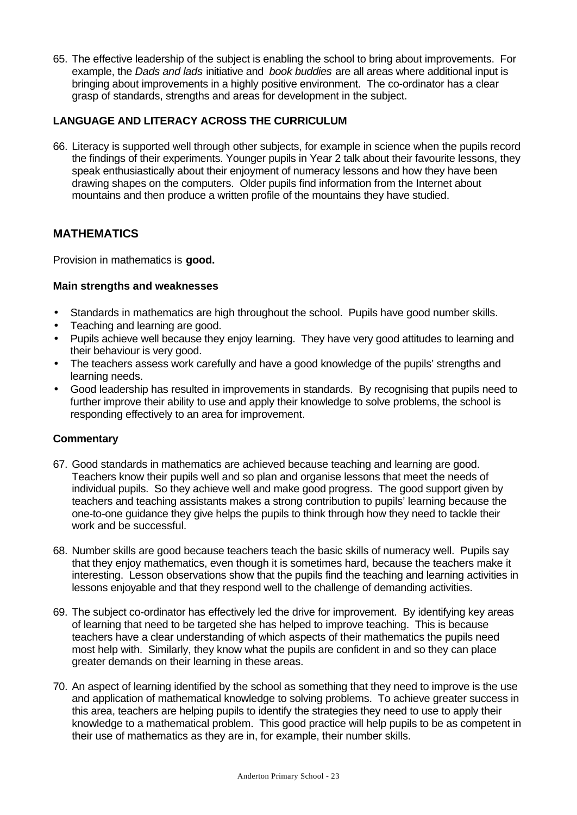65. The effective leadership of the subject is enabling the school to bring about improvements. For example, the *Dads and lads* initiative and *book buddies* are all areas where additional input is bringing about improvements in a highly positive environment. The co-ordinator has a clear grasp of standards, strengths and areas for development in the subject.

# **LANGUAGE AND LITERACY ACROSS THE CURRICULUM**

66. Literacy is supported well through other subjects, for example in science when the pupils record the findings of their experiments. Younger pupils in Year 2 talk about their favourite lessons, they speak enthusiastically about their enjoyment of numeracy lessons and how they have been drawing shapes on the computers. Older pupils find information from the Internet about mountains and then produce a written profile of the mountains they have studied.

# **MATHEMATICS**

Provision in mathematics is **good.**

### **Main strengths and weaknesses**

- Standards in mathematics are high throughout the school. Pupils have good number skills.
- Teaching and learning are good.
- Pupils achieve well because they enjoy learning. They have very good attitudes to learning and their behaviour is very good.
- The teachers assess work carefully and have a good knowledge of the pupils' strengths and learning needs.
- Good leadership has resulted in improvements in standards. By recognising that pupils need to further improve their ability to use and apply their knowledge to solve problems, the school is responding effectively to an area for improvement.

- 67. Good standards in mathematics are achieved because teaching and learning are good. Teachers know their pupils well and so plan and organise lessons that meet the needs of individual pupils. So they achieve well and make good progress. The good support given by teachers and teaching assistants makes a strong contribution to pupils' learning because the one-to-one guidance they give helps the pupils to think through how they need to tackle their work and be successful.
- 68. Number skills are good because teachers teach the basic skills of numeracy well. Pupils say that they enjoy mathematics, even though it is sometimes hard, because the teachers make it interesting. Lesson observations show that the pupils find the teaching and learning activities in lessons enjoyable and that they respond well to the challenge of demanding activities.
- 69. The subject co-ordinator has effectively led the drive for improvement. By identifying key areas of learning that need to be targeted she has helped to improve teaching. This is because teachers have a clear understanding of which aspects of their mathematics the pupils need most help with. Similarly, they know what the pupils are confident in and so they can place greater demands on their learning in these areas.
- 70. An aspect of learning identified by the school as something that they need to improve is the use and application of mathematical knowledge to solving problems. To achieve greater success in this area, teachers are helping pupils to identify the strategies they need to use to apply their knowledge to a mathematical problem. This good practice will help pupils to be as competent in their use of mathematics as they are in, for example, their number skills.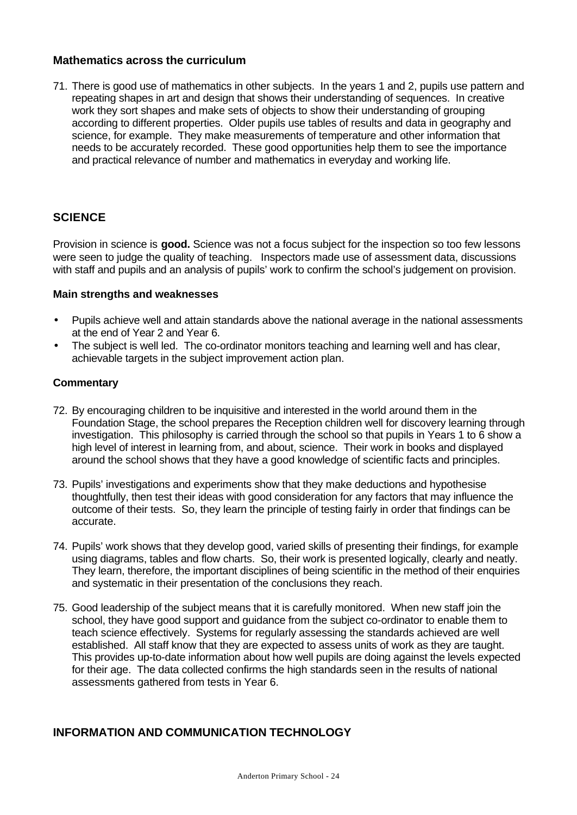### **Mathematics across the curriculum**

71. There is good use of mathematics in other subjects. In the years 1 and 2, pupils use pattern and repeating shapes in art and design that shows their understanding of sequences. In creative work they sort shapes and make sets of objects to show their understanding of grouping according to different properties. Older pupils use tables of results and data in geography and science, for example. They make measurements of temperature and other information that needs to be accurately recorded. These good opportunities help them to see the importance and practical relevance of number and mathematics in everyday and working life.

# **SCIENCE**

Provision in science is **good.** Science was not a focus subject for the inspection so too few lessons were seen to judge the quality of teaching. Inspectors made use of assessment data, discussions with staff and pupils and an analysis of pupils' work to confirm the school's judgement on provision.

#### **Main strengths and weaknesses**

- Pupils achieve well and attain standards above the national average in the national assessments at the end of Year 2 and Year 6.
- The subject is well led. The co-ordinator monitors teaching and learning well and has clear, achievable targets in the subject improvement action plan.

#### **Commentary**

- 72. By encouraging children to be inquisitive and interested in the world around them in the Foundation Stage, the school prepares the Reception children well for discovery learning through investigation. This philosophy is carried through the school so that pupils in Years 1 to 6 show a high level of interest in learning from, and about, science. Their work in books and displayed around the school shows that they have a good knowledge of scientific facts and principles.
- 73. Pupils' investigations and experiments show that they make deductions and hypothesise thoughtfully, then test their ideas with good consideration for any factors that may influence the outcome of their tests. So, they learn the principle of testing fairly in order that findings can be accurate.
- 74. Pupils' work shows that they develop good, varied skills of presenting their findings, for example using diagrams, tables and flow charts. So, their work is presented logically, clearly and neatly. They learn, therefore, the important disciplines of being scientific in the method of their enquiries and systematic in their presentation of the conclusions they reach.
- 75. Good leadership of the subject means that it is carefully monitored. When new staff join the school, they have good support and guidance from the subject co-ordinator to enable them to teach science effectively. Systems for regularly assessing the standards achieved are well established. All staff know that they are expected to assess units of work as they are taught. This provides up-to-date information about how well pupils are doing against the levels expected for their age. The data collected confirms the high standards seen in the results of national assessments gathered from tests in Year 6.

# **INFORMATION AND COMMUNICATION TECHNOLOGY**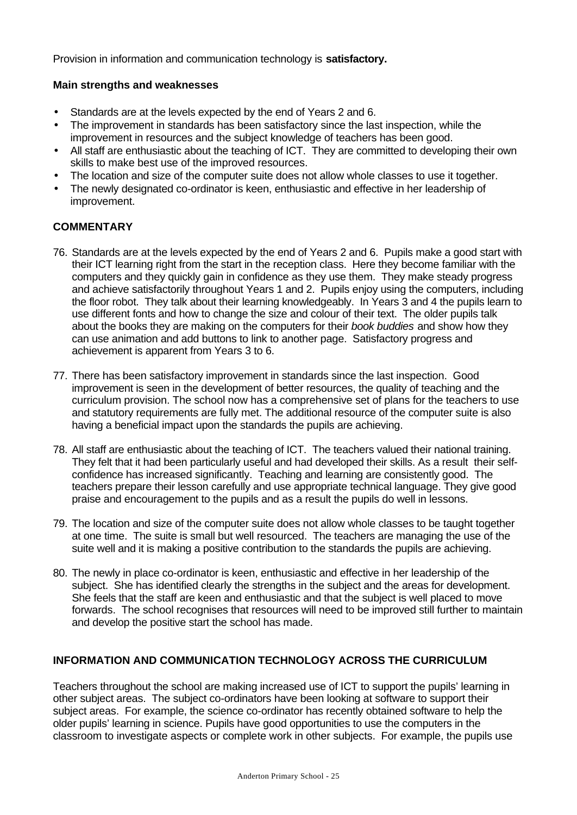Provision in information and communication technology is **satisfactory.**

#### **Main strengths and weaknesses**

- Standards are at the levels expected by the end of Years 2 and 6.
- The improvement in standards has been satisfactory since the last inspection, while the improvement in resources and the subject knowledge of teachers has been good.
- All staff are enthusiastic about the teaching of ICT. They are committed to developing their own skills to make best use of the improved resources.
- The location and size of the computer suite does not allow whole classes to use it together.
- The newly designated co-ordinator is keen, enthusiastic and effective in her leadership of improvement.

### **COMMENTARY**

- 76. Standards are at the levels expected by the end of Years 2 and 6. Pupils make a good start with their ICT learning right from the start in the reception class. Here they become familiar with the computers and they quickly gain in confidence as they use them. They make steady progress and achieve satisfactorily throughout Years 1 and 2. Pupils enjoy using the computers, including the floor robot. They talk about their learning knowledgeably. In Years 3 and 4 the pupils learn to use different fonts and how to change the size and colour of their text. The older pupils talk about the books they are making on the computers for their *book buddies* and show how they can use animation and add buttons to link to another page. Satisfactory progress and achievement is apparent from Years 3 to 6.
- 77. There has been satisfactory improvement in standards since the last inspection. Good improvement is seen in the development of better resources, the quality of teaching and the curriculum provision. The school now has a comprehensive set of plans for the teachers to use and statutory requirements are fully met. The additional resource of the computer suite is also having a beneficial impact upon the standards the pupils are achieving.
- 78. All staff are enthusiastic about the teaching of ICT. The teachers valued their national training. They felt that it had been particularly useful and had developed their skills. As a result their selfconfidence has increased significantly. Teaching and learning are consistently good. The teachers prepare their lesson carefully and use appropriate technical language. They give good praise and encouragement to the pupils and as a result the pupils do well in lessons.
- 79. The location and size of the computer suite does not allow whole classes to be taught together at one time. The suite is small but well resourced. The teachers are managing the use of the suite well and it is making a positive contribution to the standards the pupils are achieving.
- 80. The newly in place co-ordinator is keen, enthusiastic and effective in her leadership of the subject. She has identified clearly the strengths in the subject and the areas for development. She feels that the staff are keen and enthusiastic and that the subject is well placed to move forwards. The school recognises that resources will need to be improved still further to maintain and develop the positive start the school has made.

# **INFORMATION AND COMMUNICATION TECHNOLOGY ACROSS THE CURRICULUM**

Teachers throughout the school are making increased use of ICT to support the pupils' learning in other subject areas. The subject co-ordinators have been looking at software to support their subject areas. For example, the science co-ordinator has recently obtained software to help the older pupils' learning in science. Pupils have good opportunities to use the computers in the classroom to investigate aspects or complete work in other subjects. For example, the pupils use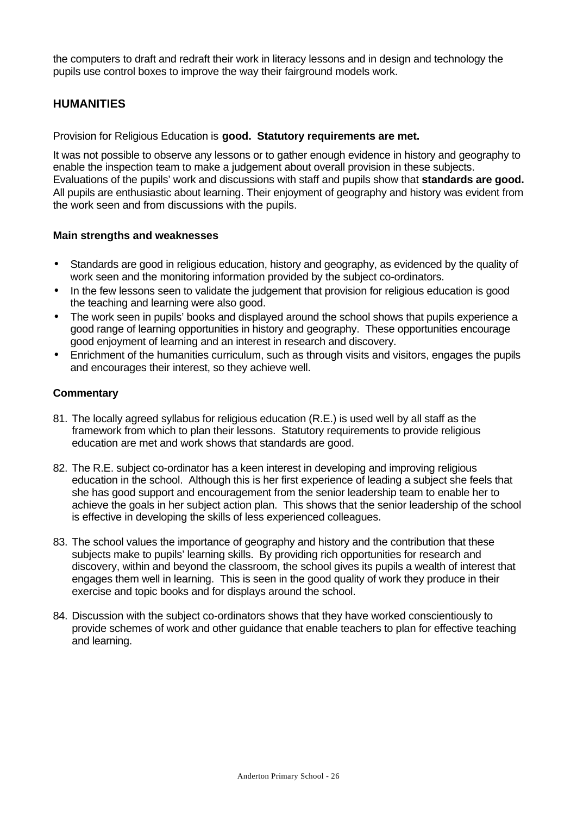the computers to draft and redraft their work in literacy lessons and in design and technology the pupils use control boxes to improve the way their fairground models work.

# **HUMANITIES**

Provision for Religious Education is **good. Statutory requirements are met.**

It was not possible to observe any lessons or to gather enough evidence in history and geography to enable the inspection team to make a judgement about overall provision in these subjects. Evaluations of the pupils' work and discussions with staff and pupils show that **standards are good.** All pupils are enthusiastic about learning. Their enjoyment of geography and history was evident from the work seen and from discussions with the pupils.

#### **Main strengths and weaknesses**

- Standards are good in religious education, history and geography, as evidenced by the quality of work seen and the monitoring information provided by the subject co-ordinators.
- In the few lessons seen to validate the judgement that provision for religious education is good the teaching and learning were also good.
- The work seen in pupils' books and displayed around the school shows that pupils experience a good range of learning opportunities in history and geography. These opportunities encourage good enjoyment of learning and an interest in research and discovery.
- Enrichment of the humanities curriculum, such as through visits and visitors, engages the pupils and encourages their interest, so they achieve well.

- 81. The locally agreed syllabus for religious education (R.E.) is used well by all staff as the framework from which to plan their lessons. Statutory requirements to provide religious education are met and work shows that standards are good.
- 82. The R.E. subject co-ordinator has a keen interest in developing and improving religious education in the school. Although this is her first experience of leading a subject she feels that she has good support and encouragement from the senior leadership team to enable her to achieve the goals in her subject action plan. This shows that the senior leadership of the school is effective in developing the skills of less experienced colleagues.
- 83. The school values the importance of geography and history and the contribution that these subjects make to pupils' learning skills. By providing rich opportunities for research and discovery, within and beyond the classroom, the school gives its pupils a wealth of interest that engages them well in learning. This is seen in the good quality of work they produce in their exercise and topic books and for displays around the school.
- 84. Discussion with the subject co-ordinators shows that they have worked conscientiously to provide schemes of work and other guidance that enable teachers to plan for effective teaching and learning.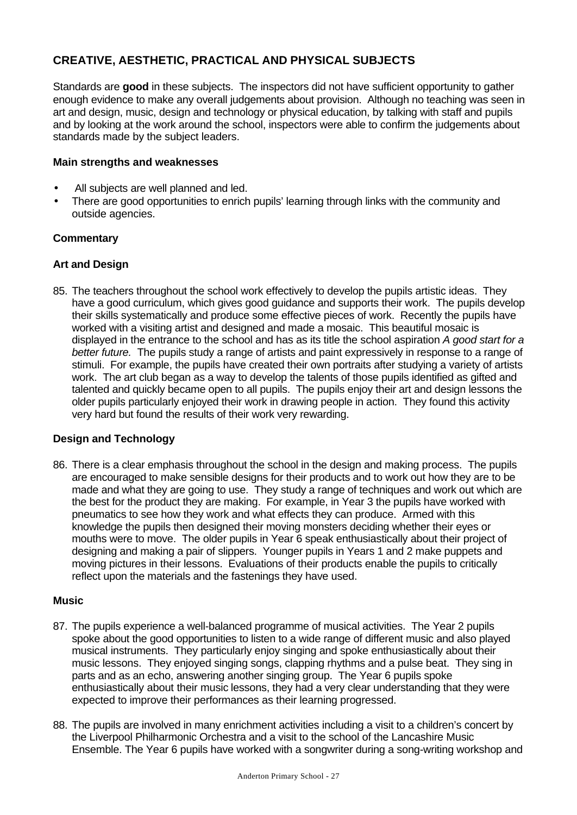# **CREATIVE, AESTHETIC, PRACTICAL AND PHYSICAL SUBJECTS**

Standards are **good** in these subjects. The inspectors did not have sufficient opportunity to gather enough evidence to make any overall judgements about provision. Although no teaching was seen in art and design, music, design and technology or physical education, by talking with staff and pupils and by looking at the work around the school, inspectors were able to confirm the judgements about standards made by the subject leaders.

#### **Main strengths and weaknesses**

- All subjects are well planned and led.
- There are good opportunities to enrich pupils' learning through links with the community and outside agencies.

### **Commentary**

### **Art and Design**

85. The teachers throughout the school work effectively to develop the pupils artistic ideas. They have a good curriculum, which gives good guidance and supports their work. The pupils develop their skills systematically and produce some effective pieces of work. Recently the pupils have worked with a visiting artist and designed and made a mosaic. This beautiful mosaic is displayed in the entrance to the school and has as its title the school aspiration *A good start for a better future.* The pupils study a range of artists and paint expressively in response to a range of stimuli. For example, the pupils have created their own portraits after studying a variety of artists work. The art club began as a way to develop the talents of those pupils identified as gifted and talented and quickly became open to all pupils. The pupils enjoy their art and design lessons the older pupils particularly enjoyed their work in drawing people in action. They found this activity very hard but found the results of their work very rewarding.

#### **Design and Technology**

86. There is a clear emphasis throughout the school in the design and making process. The pupils are encouraged to make sensible designs for their products and to work out how they are to be made and what they are going to use. They study a range of techniques and work out which are the best for the product they are making. For example, in Year 3 the pupils have worked with pneumatics to see how they work and what effects they can produce. Armed with this knowledge the pupils then designed their moving monsters deciding whether their eyes or mouths were to move. The older pupils in Year 6 speak enthusiastically about their project of designing and making a pair of slippers. Younger pupils in Years 1 and 2 make puppets and moving pictures in their lessons. Evaluations of their products enable the pupils to critically reflect upon the materials and the fastenings they have used.

#### **Music**

- 87. The pupils experience a well-balanced programme of musical activities. The Year 2 pupils spoke about the good opportunities to listen to a wide range of different music and also played musical instruments. They particularly enjoy singing and spoke enthusiastically about their music lessons. They enjoyed singing songs, clapping rhythms and a pulse beat. They sing in parts and as an echo, answering another singing group. The Year 6 pupils spoke enthusiastically about their music lessons, they had a very clear understanding that they were expected to improve their performances as their learning progressed.
- 88. The pupils are involved in many enrichment activities including a visit to a children's concert by the Liverpool Philharmonic Orchestra and a visit to the school of the Lancashire Music Ensemble. The Year 6 pupils have worked with a songwriter during a song-writing workshop and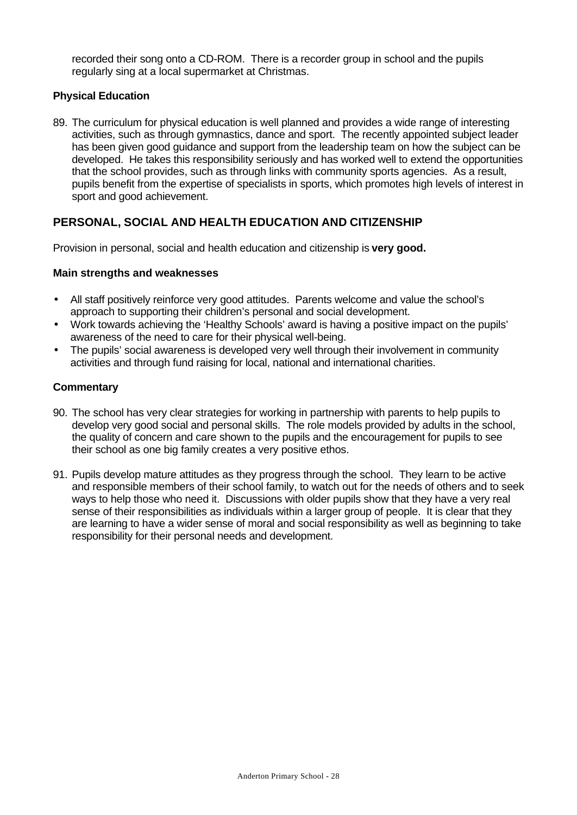recorded their song onto a CD-ROM. There is a recorder group in school and the pupils regularly sing at a local supermarket at Christmas.

#### **Physical Education**

89. The curriculum for physical education is well planned and provides a wide range of interesting activities, such as through gymnastics, dance and sport. The recently appointed subject leader has been given good guidance and support from the leadership team on how the subject can be developed. He takes this responsibility seriously and has worked well to extend the opportunities that the school provides, such as through links with community sports agencies. As a result, pupils benefit from the expertise of specialists in sports, which promotes high levels of interest in sport and good achievement.

# **PERSONAL, SOCIAL AND HEALTH EDUCATION AND CITIZENSHIP**

Provision in personal, social and health education and citizenship is **very good.**

#### **Main strengths and weaknesses**

- All staff positively reinforce very good attitudes. Parents welcome and value the school's approach to supporting their children's personal and social development.
- Work towards achieving the 'Healthy Schools' award is having a positive impact on the pupils' awareness of the need to care for their physical well-being.
- The pupils' social awareness is developed very well through their involvement in community activities and through fund raising for local, national and international charities.

- 90. The school has very clear strategies for working in partnership with parents to help pupils to develop very good social and personal skills. The role models provided by adults in the school, the quality of concern and care shown to the pupils and the encouragement for pupils to see their school as one big family creates a very positive ethos.
- 91. Pupils develop mature attitudes as they progress through the school. They learn to be active and responsible members of their school family, to watch out for the needs of others and to seek ways to help those who need it. Discussions with older pupils show that they have a very real sense of their responsibilities as individuals within a larger group of people. It is clear that they are learning to have a wider sense of moral and social responsibility as well as beginning to take responsibility for their personal needs and development.